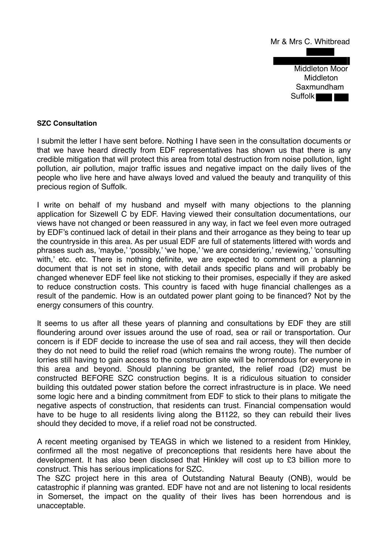

## **SZC Consultation**

I submit the letter I have sent before. Nothing I have seen in the consultation documents or that we have heard directly from EDF representatives has shown us that there is any credible mitigation that will protect this area from total destruction from noise pollution, light pollution, air pollution, major traffic issues and negative impact on the daily lives of the people who live here and have always loved and valued the beauty and tranquility of this precious region of Suffolk.

I write on behalf of my husband and myself with many objections to the planning application for Sizewell C by EDF. Having viewed their consultation documentations, our views have not changed or been reassured in any way, in fact we feel even more outraged by EDF's continued lack of detail in their plans and their arrogance as they being to tear up the countryside in this area. As per usual EDF are full of statements littered with words and phrases such as, 'maybe,' 'possibly,' 'we hope,' 'we are considering,' reviewing,' 'consulting with,' etc. etc. There is nothing definite, we are expected to comment on a planning document that is not set in stone, with detail ands specific plans and will probably be changed whenever EDF feel like not sticking to their promises, especially if they are asked to reduce construction costs. This country is faced with huge financial challenges as a result of the pandemic. How is an outdated power plant going to be financed? Not by the energy consumers of this country.

It seems to us after all these years of planning and consultations by EDF they are still floundering around over issues around the use of road, sea or rail or transportation. Our concern is if EDF decide to increase the use of sea and rail access, they will then decide they do not need to build the relief road (which remains the wrong route). The number of lorries still having to gain access to the construction site will be horrendous for everyone in this area and beyond. Should planning be granted, the relief road (D2) must be constructed BEFORE SZC construction begins. It is a ridiculous situation to consider building this outdated power station before the correct infrastructure is in place. We need some logic here and a binding commitment from EDF to stick to their plans to mitigate the negative aspects of construction, that residents can trust. Financial compensation would have to be huge to all residents living along the B1122, so they can rebuild their lives should they decided to move, if a relief road not be constructed.

A recent meeting organised by TEAGS in which we listened to a resident from Hinkley, confirmed all the most negative of preconceptions that residents here have about the development. It has also been disclosed that Hinkley will cost up to £3 billion more to construct. This has serious implications for SZC.

The SZC project here in this area of Outstanding Natural Beauty (ONB), would be catastrophic if planning was granted. EDF have not and are not listening to local residents in Somerset, the impact on the quality of their lives has been horrendous and is unacceptable.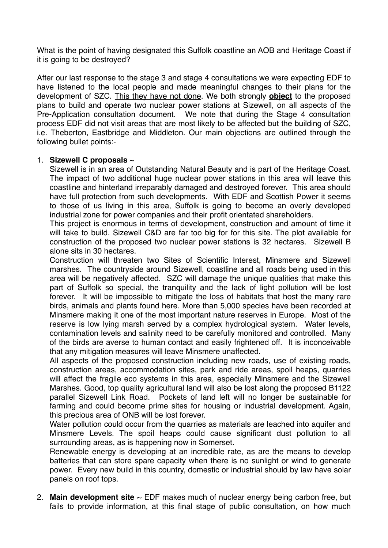What is the point of having designated this Suffolk coastline an AOB and Heritage Coast if it is going to be destroyed?

After our last response to the stage 3 and stage 4 consultations we were expecting EDF to have listened to the local people and made meaningful changes to their plans for the development of SZC. This they have not done. We both strongly **object** to the proposed plans to build and operate two nuclear power stations at Sizewell, on all aspects of the Pre-Application consultation document. We note that during the Stage 4 consultation process EDF did not visit areas that are most likely to be affected but the building of SZC, i.e. Theberton, Eastbridge and Middleton. Our main objections are outlined through the following bullet points:-

## 1. **Sizewell C proposals** ~

Sizewell is in an area of Outstanding Natural Beauty and is part of the Heritage Coast. The impact of two additional huge nuclear power stations in this area will leave this coastline and hinterland irreparably damaged and destroyed forever. This area should have full protection from such developments. With EDF and Scottish Power it seems to those of us living in this area, Suffolk is going to become an overly developed industrial zone for power companies and their profit orientated shareholders.

This project is enormous in terms of development, construction and amount of time it will take to build. Sizewell C&D are far too big for for this site. The plot available for construction of the proposed two nuclear power stations is 32 hectares. Sizewell B alone sits in 30 hectares.

Construction will threaten two Sites of Scientific Interest, Minsmere and Sizewell marshes. The countryside around Sizewell, coastline and all roads being used in this area will be negatively affected. SZC will damage the unique qualities that make this part of Suffolk so special, the tranquility and the lack of light pollution will be lost forever. It will be impossible to mitigate the loss of habitats that host the many rare birds, animals and plants found here. More than 5,000 species have been recorded at Minsmere making it one of the most important nature reserves in Europe. Most of the reserve is low lying marsh served by a complex hydrological system. Water levels, contamination levels and salinity need to be carefully monitored and controlled. Many of the birds are averse to human contact and easily frightened off. It is inconceivable that any mitigation measures will leave Minsmere unaffected.

All aspects of the proposed construction including new roads, use of existing roads, construction areas, accommodation sites, park and ride areas, spoil heaps, quarries will affect the fragile eco systems in this area, especially Minsmere and the Sizewell Marshes. Good, top quality agricultural land will also be lost along the proposed B1122 parallel Sizewell Link Road. Pockets of land left will no longer be sustainable for farming and could become prime sites for housing or industrial development. Again, this precious area of ONB will be lost forever.

Water pollution could occur from the quarries as materials are leached into aquifer and Minsmere Levels. The spoil heaps could cause significant dust pollution to all surrounding areas, as is happening now in Somerset.

Renewable energy is developing at an incredible rate, as are the means to develop batteries that can store spare capacity when there is no sunlight or wind to generate power. Every new build in this country, domestic or industrial should by law have solar panels on roof tops.

2. **Main development site** ~ EDF makes much of nuclear energy being carbon free, but fails to provide information, at this final stage of public consultation, on how much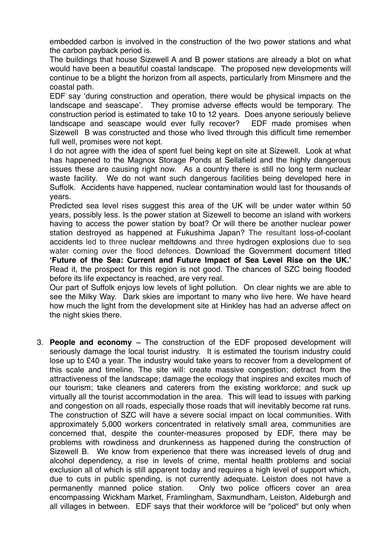embedded carbon is involved in the construction of the two power stations and what the carbon payback period is.

The buildings that house Sizewell A and B power stations are already a blot on what would have been a beautiful coastal landscape. The proposed new developments will continue to be a blight the horizon from all aspects, particularly from Minsmere and the coastal path.

EDF say 'during construction and operation, there would be physical impacts on the landscape and seascape'. They promise adverse effects would be temporary. The construction period is estimated to take 10 to 12 years. Does anyone seriously believe landscape and seascape would ever fully recover? EDF made promises when Sizewell B was constructed and those who lived through this difficult time remember full well, promises were not kept.

I do not agree with the idea of spent fuel being kept on site at Sizewell. Look at what has happened to the Magnox Storage Ponds at Sellafield and the highly dangerous issues these are causing right now. As a country there is still no long term nuclear waste facility. We do not want such dangerous facilities being developed here in Suffolk. Accidents have happened, nuclear contamination would last for thousands of years.

Predicted sea level rises suggest this area of the UK will be under water within 50 years, possibly less. Is the power station at Sizewell to become an island with workers having to access the power station by boat? Or will there be another nuclear power station destroyed as happened at Fukushima Japan? The resultant loss-of-coolant accidents led to three nuclear meltdowns and three hydrogen explosions due to sea water coming over the flood defences. Download the Government document titled **'Future of the Sea: Current and Future Impact of Sea Level Rise on the UK.'**  Read it, the prospect for this region is not good. The chances of SZC being flooded before its life expectancy is reached, are very real.

Our part of Suffolk enjoys low levels of light pollution. On clear nights we are able to see the Milky Way. Dark skies are important to many who live here. We have heard how much the light from the development site at Hinkley has had an adverse affect on the night skies there.

3. **People and economy**  $\sim$  The construction of the EDF proposed development will seriously damage the local tourist industry. It is estimated the tourism industry could lose up to £40 a year. The industry would take years to recover from a development of this scale and timeline. The site will: create massive congestion; detract from the attractiveness of the landscape; damage the ecology that inspires and excites much of our tourism; take cleaners and caterers from the existing workforce; and suck up virtually all the tourist accommodation in the area. This will lead to issues with parking and congestion on all roads, especially those roads that will inevitably become rat runs. The construction of SZC will have a severe social impact on local communities. With approximately 5,000 workers concentrated in relatively small area, communities are concerned that, despite the counter-measures proposed by EDF, there may be problems with rowdiness and drunkenness as happened during the construction of Sizewell B. We know from experience that there was increased levels of drug and alcohol dependency, a rise in levels of crime, mental health problems and social exclusion all of which is still apparent today and requires a high level of support which, due to cuts in public spending, is not currently adequate. Leiston does not have a permanently manned police station. Only two police officers cover an area encompassing Wickham Market, Framlingham, Saxmundham, Leiston, Aldeburgh and all villages in between. EDF says that their workforce will be "policed" but only when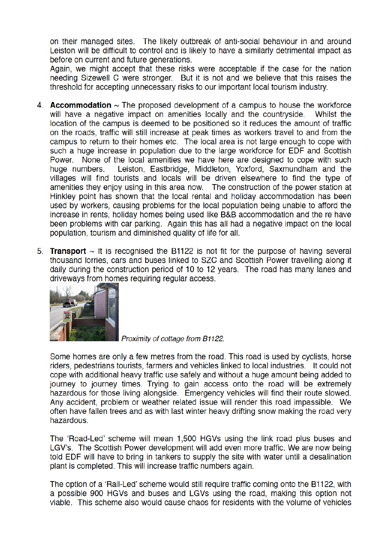on their managed sites. The likely outbreak of anti-social behaviour in and around Leiston will be difficult to control and is likely to have a similarly detrimental impact as before on current and future generations.

Again, we might accept that these risks were acceptable if the case for the nation needing Sizewell C were stronger. But it is not and we believe that this raises the threshold for accepting unnecessary risks to our important local tourism industry.

- 4. **Accommodation**  $\sim$  The proposed development of a campus to house the workforce will have a negative impact on amenities locally and the countryside. Whilst the location of the campus is deemed to be positioned so it reduces the amount of traffic on the roads, traffic will still increase at peak times as workers travel to and from the campus to return to their homes etc. The local area is not large enough to cope with such a huge increase in population due to the large workforce for EDF and Scottish Power. None of the local amenities we have here are designed to cope with such Leiston, Eastbridge, Middleton, Yoxford, Saxmundham and the huge numbers. villages will find tourists and locals will be driven elsewhere to find the type of amenities they enjoy using in this area now. The construction of the power station at Hinkley point has shown that the local rental and holiday accommodation has been used by workers, causing problems for the local population being unable to afford the increase in rents, holiday homes being used like B&B accommodation and the re have been problems with car parking. Again this has all had a negative impact on the local population, tourism and diminished quality of life for all.
- 5. **Transport**  $\sim$  It is recognised the B1122 is not fit for the purpose of having several thousand lorries, cars and buses linked to SZC and Scottish Power travelling along it daily during the construction period of 10 to 12 years. The road has many lanes and driveways from homes requiring regular access.



Proximity of cottage from B1122.

Some homes are only a few metres from the road. This road is used by cyclists, horse riders, pedestrians tourists, farmers and vehicles linked to local industries. It could not cope with additional heavy traffic use safely and without a huge amount being added to journey to journey times. Trying to gain access onto the road will be extremely hazardous for those living alongside. Emergency vehicles will find their route slowed. Any accident, problem or weather related issue will render this road impassible. We often have fallen trees and as with last winter heavy drifting snow making the road very hazardous.

The 'Road-Led' scheme will mean 1,500 HGVs using the link road plus buses and LGV's. The Scottish Power development will add even more traffic. We are now being told EDF will have to bring in tankers to supply the site with water until a desalination plant is completed. This will increase traffic numbers again.

The option of a 'Rail-Led' scheme would still require traffic coming onto the B1122, with a possible 900 HGVs and buses and LGVs using the road, making this option not viable. This scheme also would cause chaos for residents with the volume of vehicles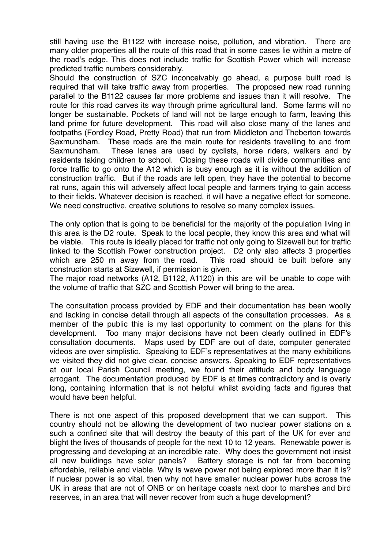still having use the B1122 with increase noise, pollution, and vibration. There are many older properties all the route of this road that in some cases lie within a metre of the road's edge. This does not include traffic for Scottish Power which will increase predicted traffic numbers considerably.

Should the construction of SZC inconceivably go ahead, a purpose built road is required that will take traffic away from properties. The proposed new road running parallel to the B1122 causes far more problems and issues than it will resolve. The route for this road carves its way through prime agricultural land. Some farms will no longer be sustainable. Pockets of land will not be large enough to farm, leaving this land prime for future development. This road will also close many of the lanes and footpaths (Fordley Road, Pretty Road) that run from Middleton and Theberton towards Saxmundham. These roads are the main route for residents travelling to and from Saxmundham. These lanes are used by cyclists, horse riders, walkers and by residents taking children to school. Closing these roads will divide communities and force traffic to go onto the A12 which is busy enough as it is without the addition of construction traffic. But if the roads are left open, they have the potential to become rat runs, again this will adversely affect local people and farmers trying to gain access to their fields. Whatever decision is reached, it will have a negative effect for someone. We need constructive, creative solutions to resolve so many complex issues.

The only option that is going to be beneficial for the majority of the population living in this area is the D2 route. Speak to the local people, they know this area and what will be viable. This route is ideally placed for traffic not only going to Sizewell but for traffic linked to the Scottish Power construction project. D2 only also affects 3 properties which are 250 m away from the road. This road should be built before any construction starts at Sizewell, if permission is given.

The major road networks (A12, B1122, A1120) in this are will be unable to cope with the volume of traffic that SZC and Scottish Power will bring to the area.

The consultation process provided by EDF and their documentation has been woolly and lacking in concise detail through all aspects of the consultation processes. As a member of the public this is my last opportunity to comment on the plans for this development. Too many major decisions have not been clearly outlined in EDF's consultation documents. Maps used by EDF are out of date, computer generated videos are over simplistic. Speaking to EDF's representatives at the many exhibitions we visited they did not give clear, concise answers. Speaking to EDF representatives at our local Parish Council meeting, we found their attitude and body language arrogant. The documentation produced by EDF is at times contradictory and is overly long, containing information that is not helpful whilst avoiding facts and figures that would have been helpful.

There is not one aspect of this proposed development that we can support. This country should not be allowing the development of two nuclear power stations on a such a confined site that will destroy the beauty of this part of the UK for ever and blight the lives of thousands of people for the next 10 to 12 years. Renewable power is progressing and developing at an incredible rate. Why does the government not insist all new buildings have solar panels? Battery storage is not far from becoming affordable, reliable and viable. Why is wave power not being explored more than it is? If nuclear power is so vital, then why not have smaller nuclear power hubs across the UK in areas that are not of ONB or on heritage coasts next door to marshes and bird reserves, in an area that will never recover from such a huge development?